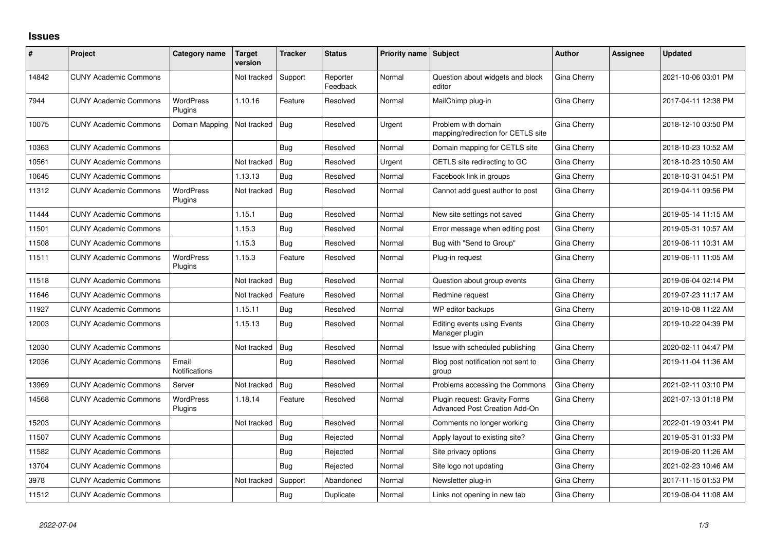## **Issues**

| #     | Project                      | Category name               | <b>Target</b><br>version | <b>Tracker</b> | <b>Status</b>        | Priority name Subject |                                                                | <b>Author</b> | Assignee | <b>Updated</b>      |
|-------|------------------------------|-----------------------------|--------------------------|----------------|----------------------|-----------------------|----------------------------------------------------------------|---------------|----------|---------------------|
| 14842 | <b>CUNY Academic Commons</b> |                             | Not tracked              | Support        | Reporter<br>Feedback | Normal                | Question about widgets and block<br>editor                     | Gina Cherry   |          | 2021-10-06 03:01 PM |
| 7944  | <b>CUNY Academic Commons</b> | WordPress<br>Plugins        | 1.10.16                  | Feature        | Resolved             | Normal                | MailChimp plug-in                                              | Gina Cherry   |          | 2017-04-11 12:38 PM |
| 10075 | <b>CUNY Academic Commons</b> | Domain Mapping              | Not tracked              | Bug            | Resolved             | Urgent                | Problem with domain<br>mapping/redirection for CETLS site      | Gina Cherry   |          | 2018-12-10 03:50 PM |
| 10363 | <b>CUNY Academic Commons</b> |                             |                          | Bug            | Resolved             | Normal                | Domain mapping for CETLS site                                  | Gina Cherry   |          | 2018-10-23 10:52 AM |
| 10561 | <b>CUNY Academic Commons</b> |                             | Not tracked              | Bug            | Resolved             | Urgent                | CETLS site redirecting to GC                                   | Gina Cherry   |          | 2018-10-23 10:50 AM |
| 10645 | <b>CUNY Academic Commons</b> |                             | 1.13.13                  | Bug            | Resolved             | Normal                | Facebook link in groups                                        | Gina Cherry   |          | 2018-10-31 04:51 PM |
| 11312 | <b>CUNY Academic Commons</b> | <b>WordPress</b><br>Plugins | Not tracked              | Bug            | Resolved             | Normal                | Cannot add guest author to post                                | Gina Cherry   |          | 2019-04-11 09:56 PM |
| 11444 | <b>CUNY Academic Commons</b> |                             | 1.15.1                   | Bug            | Resolved             | Normal                | New site settings not saved                                    | Gina Cherry   |          | 2019-05-14 11:15 AM |
| 11501 | <b>CUNY Academic Commons</b> |                             | 1.15.3                   | Bug            | Resolved             | Normal                | Error message when editing post                                | Gina Cherry   |          | 2019-05-31 10:57 AM |
| 11508 | <b>CUNY Academic Commons</b> |                             | 1.15.3                   | Bug            | Resolved             | Normal                | Bug with "Send to Group"                                       | Gina Cherry   |          | 2019-06-11 10:31 AM |
| 11511 | <b>CUNY Academic Commons</b> | <b>WordPress</b><br>Plugins | 1.15.3                   | Feature        | Resolved             | Normal                | Plug-in request                                                | Gina Cherry   |          | 2019-06-11 11:05 AM |
| 11518 | <b>CUNY Academic Commons</b> |                             | Not tracked              | Bug            | Resolved             | Normal                | Question about group events                                    | Gina Cherry   |          | 2019-06-04 02:14 PM |
| 11646 | <b>CUNY Academic Commons</b> |                             | Not tracked              | Feature        | Resolved             | Normal                | Redmine request                                                | Gina Cherry   |          | 2019-07-23 11:17 AM |
| 11927 | <b>CUNY Academic Commons</b> |                             | 1.15.11                  | Bug            | Resolved             | Normal                | WP editor backups                                              | Gina Cherry   |          | 2019-10-08 11:22 AM |
| 12003 | <b>CUNY Academic Commons</b> |                             | 1.15.13                  | Bug            | Resolved             | Normal                | Editing events using Events<br>Manager plugin                  | Gina Cherry   |          | 2019-10-22 04:39 PM |
| 12030 | <b>CUNY Academic Commons</b> |                             | Not tracked              | Bug            | Resolved             | Normal                | Issue with scheduled publishing                                | Gina Cherry   |          | 2020-02-11 04:47 PM |
| 12036 | <b>CUNY Academic Commons</b> | Email<br>Notifications      |                          | Bug            | Resolved             | Normal                | Blog post notification not sent to<br>group                    | Gina Cherry   |          | 2019-11-04 11:36 AM |
| 13969 | <b>CUNY Academic Commons</b> | Server                      | Not tracked              | Bug            | Resolved             | Normal                | Problems accessing the Commons                                 | Gina Cherry   |          | 2021-02-11 03:10 PM |
| 14568 | <b>CUNY Academic Commons</b> | <b>WordPress</b><br>Plugins | 1.18.14                  | Feature        | Resolved             | Normal                | Plugin request: Gravity Forms<br>Advanced Post Creation Add-On | Gina Cherry   |          | 2021-07-13 01:18 PM |
| 15203 | <b>CUNY Academic Commons</b> |                             | Not tracked              | Bug            | Resolved             | Normal                | Comments no longer working                                     | Gina Cherry   |          | 2022-01-19 03:41 PM |
| 11507 | <b>CUNY Academic Commons</b> |                             |                          | Bug            | Rejected             | Normal                | Apply layout to existing site?                                 | Gina Cherry   |          | 2019-05-31 01:33 PM |
| 11582 | <b>CUNY Academic Commons</b> |                             |                          | Bug            | Rejected             | Normal                | Site privacy options                                           | Gina Cherry   |          | 2019-06-20 11:26 AM |
| 13704 | <b>CUNY Academic Commons</b> |                             |                          | Bug            | Rejected             | Normal                | Site logo not updating                                         | Gina Cherry   |          | 2021-02-23 10:46 AM |
| 3978  | <b>CUNY Academic Commons</b> |                             | Not tracked              | Support        | Abandoned            | Normal                | Newsletter plug-in                                             | Gina Cherry   |          | 2017-11-15 01:53 PM |
| 11512 | <b>CUNY Academic Commons</b> |                             |                          | Bug            | Duplicate            | Normal                | Links not opening in new tab                                   | Gina Cherry   |          | 2019-06-04 11:08 AM |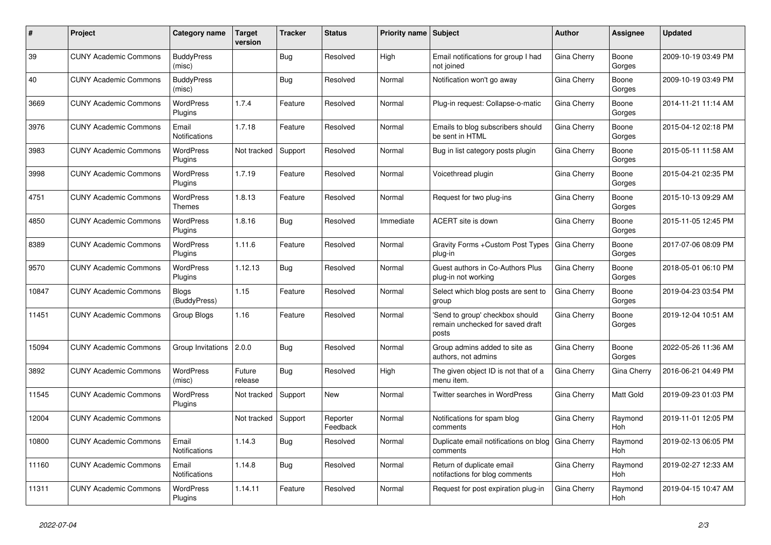| #     | Project                      | <b>Category name</b>              | <b>Target</b><br>version | <b>Tracker</b> | <b>Status</b>        | <b>Priority name   Subject</b> |                                                                              | <b>Author</b> | Assignee              | <b>Updated</b>      |
|-------|------------------------------|-----------------------------------|--------------------------|----------------|----------------------|--------------------------------|------------------------------------------------------------------------------|---------------|-----------------------|---------------------|
| 39    | <b>CUNY Academic Commons</b> | <b>BuddyPress</b><br>(misc)       |                          | Bug            | Resolved             | High                           | Email notifications for group I had<br>not joined                            | Gina Cherry   | Boone<br>Gorges       | 2009-10-19 03:49 PM |
| 40    | <b>CUNY Academic Commons</b> | <b>BuddyPress</b><br>(misc)       |                          | Bug            | Resolved             | Normal                         | Notification won't go away                                                   | Gina Cherry   | Boone<br>Gorges       | 2009-10-19 03:49 PM |
| 3669  | <b>CUNY Academic Commons</b> | <b>WordPress</b><br>Plugins       | 1.7.4                    | Feature        | Resolved             | Normal                         | Plug-in request: Collapse-o-matic                                            | Gina Cherry   | Boone<br>Gorges       | 2014-11-21 11:14 AM |
| 3976  | <b>CUNY Academic Commons</b> | Email<br><b>Notifications</b>     | 1.7.18                   | Feature        | Resolved             | Normal                         | Emails to blog subscribers should<br>be sent in HTML                         | Gina Cherry   | Boone<br>Gorges       | 2015-04-12 02:18 PM |
| 3983  | <b>CUNY Academic Commons</b> | <b>WordPress</b><br>Plugins       | Not tracked              | Support        | Resolved             | Normal                         | Bug in list category posts plugin                                            | Gina Cherry   | Boone<br>Gorges       | 2015-05-11 11:58 AM |
| 3998  | <b>CUNY Academic Commons</b> | <b>WordPress</b><br>Plugins       | 1.7.19                   | Feature        | Resolved             | Normal                         | Voicethread plugin                                                           | Gina Cherry   | Boone<br>Gorges       | 2015-04-21 02:35 PM |
| 4751  | <b>CUNY Academic Commons</b> | <b>WordPress</b><br><b>Themes</b> | 1.8.13                   | Feature        | Resolved             | Normal                         | Request for two plug-ins                                                     | Gina Cherry   | Boone<br>Gorges       | 2015-10-13 09:29 AM |
| 4850  | <b>CUNY Academic Commons</b> | <b>WordPress</b><br>Plugins       | 1.8.16                   | Bug            | Resolved             | Immediate                      | ACERT site is down                                                           | Gina Cherry   | Boone<br>Gorges       | 2015-11-05 12:45 PM |
| 8389  | <b>CUNY Academic Commons</b> | <b>WordPress</b><br>Plugins       | 1.11.6                   | Feature        | Resolved             | Normal                         | Gravity Forms + Custom Post Types<br>plug-in                                 | Gina Cherry   | Boone<br>Gorges       | 2017-07-06 08:09 PM |
| 9570  | <b>CUNY Academic Commons</b> | <b>WordPress</b><br>Plugins       | 1.12.13                  | Bug            | Resolved             | Normal                         | Guest authors in Co-Authors Plus<br>plug-in not working                      | Gina Cherry   | Boone<br>Gorges       | 2018-05-01 06:10 PM |
| 10847 | <b>CUNY Academic Commons</b> | Blogs<br>(BuddyPress)             | 1.15                     | Feature        | Resolved             | Normal                         | Select which blog posts are sent to<br>group                                 | Gina Cherry   | Boone<br>Gorges       | 2019-04-23 03:54 PM |
| 11451 | <b>CUNY Academic Commons</b> | Group Blogs                       | 1.16                     | Feature        | Resolved             | Normal                         | 'Send to group' checkbox should<br>remain unchecked for saved draft<br>posts | Gina Cherry   | Boone<br>Gorges       | 2019-12-04 10:51 AM |
| 15094 | <b>CUNY Academic Commons</b> | Group Invitations                 | 2.0.0                    | Bug            | Resolved             | Normal                         | Group admins added to site as<br>authors, not admins                         | Gina Cherry   | Boone<br>Gorges       | 2022-05-26 11:36 AM |
| 3892  | <b>CUNY Academic Commons</b> | <b>WordPress</b><br>(misc)        | Future<br>release        | <b>Bug</b>     | Resolved             | High                           | The given object ID is not that of a<br>menu item.                           | Gina Cherry   | Gina Cherry           | 2016-06-21 04:49 PM |
| 11545 | <b>CUNY Academic Commons</b> | <b>WordPress</b><br>Plugins       | Not tracked              | Support        | <b>New</b>           | Normal                         | <b>Twitter searches in WordPress</b>                                         | Gina Cherry   | <b>Matt Gold</b>      | 2019-09-23 01:03 PM |
| 12004 | <b>CUNY Academic Commons</b> |                                   | Not tracked              | Support        | Reporter<br>Feedback | Normal                         | Notifications for spam blog<br>comments                                      | Gina Cherry   | Raymond<br><b>Hoh</b> | 2019-11-01 12:05 PM |
| 10800 | <b>CUNY Academic Commons</b> | Email<br><b>Notifications</b>     | 1.14.3                   | <b>Bug</b>     | Resolved             | Normal                         | Duplicate email notifications on blog<br>comments                            | Gina Cherry   | Raymond<br><b>Hoh</b> | 2019-02-13 06:05 PM |
| 11160 | <b>CUNY Academic Commons</b> | Email<br>Notifications            | 1.14.8                   | Bug            | Resolved             | Normal                         | Return of duplicate email<br>notifactions for blog comments                  | Gina Cherry   | Raymond<br>Hoh        | 2019-02-27 12:33 AM |
| 11311 | <b>CUNY Academic Commons</b> | WordPress<br>Plugins              | 1.14.11                  | Feature        | Resolved             | Normal                         | Request for post expiration plug-in                                          | Gina Cherry   | Raymond<br>Hoh        | 2019-04-15 10:47 AM |